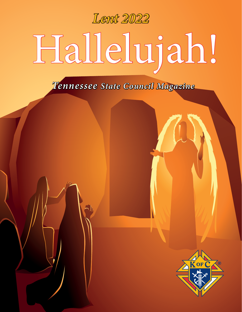# Hallelujah! *Lent 2022*

*Tennessee State Council Magazine*

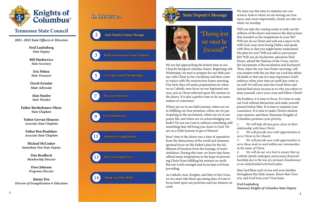

**Fred Laufenberg** *State Deputy*

**Bill Markiewicz** *State Secretary*

**Eric Pelton** *State Treasurer*

**David Zwissler** *State Advocate*

**Alan Stanley** *State Warden*

**Father Bartholomew Okere** *State Chaplain*

**Father Gervan Menezes** *Associate State Chaplain*

**Father Ben Bradshaw** *Associate State Chaplain*

**Michael McCusker** *Immediate Past State Deputy*

> **Dan Brodbeck** *Membership Director*

**Dave Johnson** *Programs Director*

**Jimmy Dee** *Director of Evangelization & Education*

*2021- 2022 State Officers & Directors*

 **State Deputy's Message**



We are fast approaching the holiest time in our Church's liturgical calendar, Easter. Beginning Ash Wednesday, we start to prepare for our faith journey with Christ to his crucifixion and then come to rejoice with His resurrection Easter morning. Our forty days of Lenten preparations are when we as Catholic men focus on our baptismal mission, just as Christ reflected upon His mission in the desert. It is also a perfect time to do an examination of conscience.

Where are we in our faith journey, where are we in fulfilling our four promises, where are we participating in the sacraments, where are we in our prayer life, and where are we acknowledging our faults? Do not use Lent to subtract something; add something that will bring you closer to God. We are on a Faith Journey to get to Heaven!

Jesus' time in the desert was a time of separation from the distractions of the world and immense spiritual focus on His Father's plan for the fulfillment of freedom from the bondage of man's sinfulness. During this time, we know that Satan offered many temptations in the hope of preventing Christ from fulfilling his mission on earth. But our Lord's strength and focus kept evil from prevailing.

As Catholic men, Knights, and Men of the Cross, we too must take these upcoming days of Lent to focus hard upon our priorities and our mission on earth

# *"During lent we must be focused!"*

We must use this time to examine our conscience, look at where we are storing our treasures, and, more importantly, clearly see who (or what) we worship.

Will you take the coming weeks to seek out the stillness of the desert and remove the distractions that manifest as the temptations in your life? Will you do as Christ and seek out a space to be with God, your most loving Father, and speak with Him so that you might better understand His plan for you? Will you add to your prayer life? Will you do Eucharistic adoration Holy Hours, attend the Stations of the Cross, receive the Sacraments of Reconciliation and Eucharist? Then, when the sun rises Easter morning, will you awaken with the joy that our Lord has defeated death so that you too may experience God's embrace when your time on earth has come to an end? Or will you miss the Good News and instead find more excuses as to why you refuse to deny yourself, carry your cross and follow Christ?

My brothers, it is time to focus. It is time to seek out God without distraction and make yourself present before Him. It is time to examine your conscience. It is time to make Christ's mission your mission, and these Tennessee Knights of Columbus promises your priority.

*1. We will help all men grow closer in their relationship with Jesus Christ.*

*2. We will provide men with opportunities to serve Christ in his Church.*

*3. We will provide men with opportunities to serve those most in need within our communities in the name of Christ.*

*4. We will do our very best to ensure that no Catholic family undergoes unnecessary financial hardship due to the loss of a primary breadwinner or an underfunded retirement plan.*

May God bless each of you and your families throughout this Holy season. Know that I love you, and God loves you! Vivat Jesus.

*Fred Laufenberg Tennessee Knights of Columbus State Deputy*

## **In this issue...**

**Reflection from our State Chaplain**

**Growing Council Membership**

**Tennessee Evangelization**



## **Thank You Mike Wills!**



**Our Faith Journey**

**The Great Mysteries**

#### **2022 Convention News** 13

3

5

7

9

11

14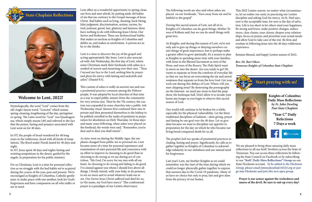## **State Chaplain Reflections**



#### **Welcome to Lent, 2022!**

Etymologically, the word "Lent" comes from the old Anglo-Saxon word, "Lencten" which means spring-cleaning, lengthening of the day, springtime or spring. The Latin word for "Lent" was Quadragesima, which simply means (40) and referred to the fact that the prayer, fasting and penance associated with Lent went on for 40 days.

In OT, the people of Israel wondered for 40 long years in the wilderness, faced with all kinds of temptations. The flood under Norah lasted for 40 days and night.

In NT, Jesus spent 40 days and nights fasting and resisting temptations in the desert, guided by the angels, in preparation for his public ministry.

For us Christians, Lent is a time for personal reflection as we struggle with the bad habits we've acquired during the course of the year, past and present. We're encouraged as Knights of Columbus, Catholic gentlemen, to make peace with one another, look for God's forgiveness and have compassion on all who suffer or are in need.

Lent offers us a wonderful opportunity to spring-clean our lives and start afresh, by putting aside old habits of sin that are contrary to the Gospel message of Jesus Christ. Bad habits such as lying, cheating, back-biting, false judgment, discrimination, sexism, racism, hatred, jealousy, greed, lust, gluttony and laziness, these have nothing to do with following Jesus Christ, Our Savior and Redeemer. These are dysfunctional habits that makes us unclean as Knights of Columbus and defiles us, and makes us unchristian. A person act as he or she thinks.

Lent is a time to discover the joy of the gospel and acting appropriately like Jesus. Lent is also associated with Ash Wednesday, the first day of Lent, where some Christians mark their foreheads with ashes as a symbol of sorrow and mourning over their sins. "Then I turned my face to the Lord, seeking him by prayer and pleas for mercy with fasting and sackcloth and ashes" (Daniel 9:3).

This custom of ashes is really an ancient one and was a penitential practice common among the Hebrew people. It was adopted by local churches of that time as a way to expel public sinners from the community for very serious sins. Then by the 7th century, the custom was expanded in some churches into a public Ash Wednesday ritual. Sinners first confessed their sins in private and then presented themselves to the bishop to be publicly enrolled in the ranks of penitents in preparation for absolution on Holy Thursday. In those days and many years following, when ashes were placed on the forehead, the words were said, "Remember, you're dust and to dust you shall return" .

As time went on during the Middle Ages, the emphasis changed from public sin to personal sin. Lent became more of a time for personal repentance and examination of one's personal life and conscience with an effort to improve in choosing to do good than in choosing to do wrong as we say during act of contrition. "My God, I'm sorry for my sins with all my heart. In choosing to do wrong and failing to do good, I've sinned against you whom I should love above all things. I firmly intend, with your help, to do penance, to sin no more and to avoid whatever leads me to sin. Our Savior Jesus Christ suffered and died for us, in His name, my God have mercy" This confessional prayer is a paradigm of our Lenten observance.

The following words are also said when ashes are placed on our foreheads, "Turn away from sin and be faithful to the gospel" During this sacred season of Lent, not all of us Knights of Columbus can do great things, Mother Teresa of Kolkata said, but we can do small things with great love. As Knights, and during this season of Lent, we're not only ask to give up things or denying ourselves cer-

tain things of great importance, but to perhaps make a greater effort to grow spiritually. It's a season to plan as Knights to spending more time with your families, with Jesus in the Blessed Sacrament as men of the Hour, and men of the Rosary. The Holy Spirit want to move us into the desert. Are you ready to go? He wants to separate us from the comforts of everyday life so that we can focus on overcoming the sin and moral weakness that separate us from the love God. Get your tools out during this 40days of Lent. Where will you start chipping away? By destroying the pornography on the Internet- no need any more to find the peep show, the burlesque hall. Don't allow it to invade your home any longer as you begin to observe this sacred season of Lent.

Our world will continue to be broken for a while, especially for the physical vulnerability. Let the three traditional disciplines of Judaism—alms giving, prayer and fasting be our goal over the 40 days. Let us give alms because we want to discipline our appetite in preparation for the day on which he who became our living bread conquered death for us all.

The prophet Joel too speaks of penitential practices including, fasting and prayer. Significantly, he calls us to gather together as Knights of Columbus to acknowledge solidarity in our sinfulness and our mutual need for forgiveness.

Last year's Lent, my brother Knights as we could remember, was the start of the time during which we could no longer physically gather together to express that oneness due to the Covid-19 pandemic. Many of us have no choice but only to pray, fast and give alms from the privacy of our homes.



**Knights of Columbus Daily Mass Reflections**  *by Fr. John Dowling Past State Chaplain* **"Year C" Daily** 

**Refections 7 Days a week**

**C** flocknote

We are pleased to bring these amazing daily mass reflections to all our KofC brothers across the State of Tennessee. You can access these reflections by following the State Council on Facebook or by subscribing to our "**KofC Daily Mass Reflections" Group** on our State Flocknote account. *To be added to the Flocknote Group, please email jimmydee@kofc16523.org or just go into Flocknote and join this new open group.* 

**Prayer is our armor against the wickedness and snares of the devil. Be sure to suit up every day!**

This 2022 Lenten season, no matter what circumstances, let us realize our unity in practicing our Lenten discipline and asking God for mercy. As St. Paul says, now is the acceptable time, for now is the day of salvation. Life is too short to let others steal your happiness. Be strong and brave, make positive changes, reduce stress, clear cluster, your closets, deepen your relationships, focus on prayer, and prioritize your actual needs and allow God to take care of the rest. Be firm and resolute in following Jesus into the 40 days wilderness experience.

Remain blessed, and happy Lenten season of 2022.

*Rev. Dr. Bart Okere Tennessee Knights of Columbus State Chaplain*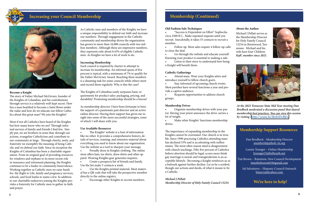#### **Become a Knight**

The story of Father Michael McGivney, founder of the Knights of Columbus, and his contributions through service is a relatively well-kept secret. How has a man beatified to become a Saint flown under the radar and how do we educate our fellow Catholics about this great man? We join the Knights!

Most if not all Catholics have heard of the Knights but how many know who we are? Through informal surveys of family and friends I find few. Simply put, we are brothers in arms that, through our actions, evangelize Catholicism and contribute to our community at-large. Through charity, unity, and fraternity we exemplify the meaning of being Catholic and we defend our faith. Since its inception the Knights of Columbus has been a charitable organization. From its original goal of providing resources for windows and orphans to its more recent role in insurance and retirement planning, the Knights continues to be a leader in community benevolence. Working together as Catholic men we raise funds for: the Right to Life, family and pregnancy services, schools, and food banks to name a few. In addition to our charitable endeavors joining the Knights provides a fraternity for Catholic men to gather in faith and prayer.

The Knights' website is a font of information like no other. It provides a comprehensive history, details of services, training, and extensive material about everything you need to know about our organization. Use the website as a tool to sharpen your message.

As Catholic men and members of the Knights we have a unique responsibility to defend our faith and increase our numbers. Through engagement in the Catholic community and membership drives the organization has grown to more than 16,000 councils with two million members. Although these are impressive numbers, they represent only about 0.45% of eligible Catholic men. As Knights we have a lot of work to do.

Use the Knights printed material. Most material has a QR code that will take the perspective member directly to the online registry.

#### **Increasing Membership**

Each council is required by charter to attempt to increase its membership. An informal quota of five percent is typical, with a minimum of 7% to qualify for the Father McGivney Award. Reaching these numbers is a daunting task for some councils while others meet and exceed them regularly. Why is this the case?

Go through the website and educate yourself. Knowing your product is essential to making a sale.

• Listen to their story to understand how being a Knight will benefit them.

Stay informed of upcoming church events. Most parishes have several functions a year and provide a captive audience.

The Knights of Columbus easily surpasses basic requirements for product sales: packaging, pricing, and durability! Promoting membership should be a breeze!

• Requests opportunities to address church groups.

As membership director I have been fortunate to have the support of a passionate past director and an active online director. Having their support has given me insight into some of the more successful strategies, some of which I will share with you:

#### **Use Available Resources**

• Proudly dress in Knights clothing. The online store offers hats, tee shirts, dress shirts and other apparel. Wearing Knights gear generates inquires.

• Create a prospects list of friends and family. Use the list make 5 contacts a week.

• Encourage other Knights to recruit members.



## **Increasing your Council Membership**



#### **Membership Support Resources**

Dan Brodbeck - Membership Director [membership@kofc-tn.org](mailto:membership%40kofc-tn.org?subject=)

Lonnie Younger – Online Membership [lyounger52@bellsouth.net](mailto:lyounger52%40bellsouth.net%20%20?subject=)

Tim Brown – Retention, New Council Development [timothybrown819@gmail.com](mailto:timothybrown819%40gmail.com%20%20?subject=)

Sal Salvatierra – Hispanic Council Outreach [binarysal@yahoo.com](mailto:binarysal%40yahoo.com%20%20?subject=) 

## **We're here to help!**

#### **Old Fashion Sale Techniques**

• "Success is Dependent on Effort" Sophocles circa 2500 B.C.. Make repeated requests until you recruit. Anecdotally, it takes 35 contacts to recruit a member..

• Follow up. Most sales require 4 follow-up calls to close the deal.

#### **Catholic Gatherings**

• Attend mass. Wear your Knights attire and introduce yourself to fellow church goers.

#### **Membership Drives**

• Organize membership drives with your pastor. Having your priest announce the drive carries a lot of weight.

• Make other Knights' functions membership drives.

The importance of expanding membership in the Knights cannot be overstated. Our church is in trouble. Since 1990 practicing Catholics attending mass has declined 53% and is accelerating with millenniums. The most often reason sited is disagreement with church teachings. Fifty five percent of Catholics believe abortion should be legal; scores more think gay marriage is moral; and transgenderism is an acceptable lifestyle. Becoming a Knight reinforces us as a bulwark against further decline. Let us be a symbol, though our actions and deeds, of what it means to be a Catholic.

*Michael J Pellatt Membership Director of Holy Family Council 15234*

## **Membership (Continued)**

*At the 2022 Tennessee State Mid Year meeting Dan Brodbeck moderated a discussion panel that shared membership best practices. You can view this session by visiting :[https://youtu.be/Skyh5DvRfew](https://youtu.be/Skyh5DvRfew.  )*

#### **About the Author**

Michael J Pellatt serves as the Membership Director for Holy Family Council 15234 in Brentwood, Tennessee. Michael and his wife have four Children. *KofC member since 2021*.



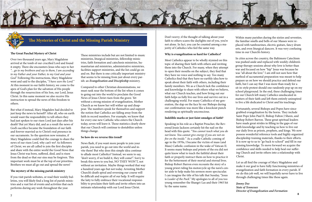

## **The Mysteries of Christ and the Missing Parish Ministry**

#### **The Great Paschal Mystery of Christ**

Over two thousand years ago, Mary Magdalene arrived at the tomb of our crucified Lord and found it empty. There she encounters Jesus who says to her *"…go to my brethren and say to them, I am ascending to my Father and your Father, to my God and your God."* Following His instructions, Mary Magdalene went and said to the disciples, "*I have seen the Lord.*" At this moment in our faith's history, we come to the apex of God's plan for the salvation of His people through the resurrection of his Son, our Lord, Jesus Christ. In this same moment we also receive His instruction to spread the news of this freedom to others.

But what if instead, Mary Magdalen had decided to just keep the news to herself? After all, who on earth would want the responsibility to tell others they had just spoken to our risen Lord just days after his death? But yet Mary did, and as a result the news of God's sacrifice became the foundation of our faith and forever married us to Christ's real presence in our sacraments. So the question now remains, if Mary Magdalene could find the courage to share the news of our risen Lord, why can't we? As followers of Christ, we are all called to join the first disciples and share with the entire world the Good News that Jesus Christ was born, suffered, died, and is risen from the dead so that our sins may be forgiven. This important work must be at the top of our priorities. Brothers we must all go out and spread the news!

#### **The mystery of the missing parish ministry**

If you visit parish websites, or read their weekly bulletins, you will likely find a long list of parish ministries and a vast list of events and activities that each performs during any week throughout the year.

These ministries include but are not limited to music ministries, liturgical ministries, fellowship ministries, faith formation and catechesis ministries, humanitarian aid ministries, administrative ministries, facilities support ministries, and the list could go on and on. But there is one critically important ministry that seems to be missing from just about every parish: an *Evangelization and Discipleship* ministry.

 $K(R)$ 

Compared to other Christian denominations, we must rank near the bottom of the list when it comes to going out into the world to proclaim the Good News of Jesus Christ risen from the grave. Yet without a strong mission of evangelization, Mother Church as we know her will wither up and disappear. The numbers speak for themselves and support the notion that Catholics are falling away from the faith in record numbers. For example, we know that for every one new Catholic who enters the Church today, seven will leave it. Those statistics clearly show that our Church will continue to destabilize unless things change.

#### **So how do we reverse this trend?**

News flash, if you want more people to join your parish, you need to go out into the world and invite them! But why does this simple idea continue to allude most Catholics? Instead, we seem to say, "don't worry, if we build it, they will come!". Sorry to break this news to you but, NO THEY WON'T, not without an invitation. Maybe things worked that way a hundred years ago but not today. Arresting Mother Church's death spiral and reversing our course will be difficult and require all of our help. It will require the laity to fully embrace their vocational responsibility to proclaim their faith and invite others into an intimate relationship with our Lord Jesus Christ.

Don't worry; if the thought of talking about your faith to others scares the daylights out of you, you're not alone. In fact, you can be counted among a majority of Catholics who feel the same way.

#### **Why is evangelization so hard for Catholics?**

Most Catholics appear to be wholly stymied on this topic of sharing their faith with others and inviting them into the Church. For many, when they attempt to open their mouths on the subject, they find that they have no voice and nothing to say. Too many Catholics find that they have no earthly idea how to speak about their faith with others, including their family members. We as a Church lack the confidence and knowledge to share with others what we believe, what our Church teaches, and how living out our faith helps us fully live our lives and survive out in a challenging world. For many Catholics of my generation, the slap on the face by our Bishops during our confirmation was more like a knockout punch rendering us spiritually unconscious.

#### **Indelible marks or just faint smudges of faith?**

Speaking in his role as a Baptist Preacher, the Reverend Jessie Jackson certainly hit the nail on the head with this quote. "*You cannot teach what you do not know. You cannot give energy if you are not on fire on the inside.*" As a cradle Catholic coming of age in the 1970s, I became the victim of mass (and Mass) Catholic confusion in the wake of Vatican II. It seems many bishops and priests of the era did not quite know what to teach the faithful about their faith or properly instruct them on how to practice it for the betterment of their mortal and eternal lives. Bishop Robert Barron even recounts the story of a young priest riding his motorcycle up the nave's center aisle to help make his sermon more spectacular. I can imagine the title of his talk that Sunday, "Jesus is *Leader of the Pack*." My apologies to all of you too young remember the Shangri-Las and their 1965 hit by the same name.

Fortunately, several Bishops and Popes have since grabbed evangelization by the horns. They include Saint Pope John Paul II, Bishop Fulton J Sheen, and Bishop Robert Barron. These great spiritual leaders have made great strides in filling in the gaps of our faith knowledge and by teaching us how to live out our daily lives as priests, prophets, and kings. We now possess wonderful reference tools and highly organized discipleship training materials, thanks to their efforts. It is now up to us to "go back to school" and fill in our missing knowledge. To move forward we acquire the confidence and skills needed to help heal our suffering Church and invite others into a relationship with Christ.

Let us all find the courage of Mary Magdalene and make it our goal to have fully functioning ministries of evangelization and faith formation in every parish. If we do this job well, we will hopefully never have to live through challenging times like these again.

*Jimmy Dee State of Tennessee Director of Evangelization and Formation*

Within many parishes during the sixties and seventies, the familiar smells and bells of our Masses were replaced with tambourines, electric guitars, fancy drum sets, and even liturgical dancers. It was very confusing time in our Church's history.

In cities across the country, the Baltimore Catechism was pushed aside and replaced with weekly children's group therapy sessions about why love is better than war and focused on how "hip" Jesus was because he was "all about the love." I am still not sure how that method of sacramental preparation was meant to help prepare us on how we should practice and defend our faith, but I can say that I was more than ready for a sit-in-style protest should one randomly pop up on my school playground. In the end, these challenging times for our Church left many Catholics uneducated in matters of their faith and left them entirely uninspired to live a life dedicated to Christ and his teachings.

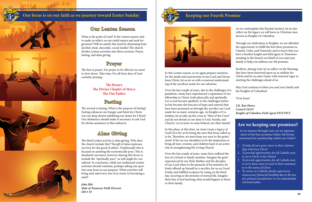What is the point of Lent? Is the Lenten season only to make us reflect on our sinful nature and seek forgiveness? Will we satisfy this need by abstaining from alcohol, meat, chocolate, social media? The church divides Lenten activities into three sections: Prayer, fasting, and alms giving.

The first is prayer. For prayer to be effective we need to slow down. Take time. For all forty days of Lent consider praying:

#### **The Rosary The Divine Chaplet of Mercy The Our Father**

The second is fasting. What is the purpose of fasting? Fasting enhances our hunger and thirst for Christ. Are our deep desires inhibiting our desire for Christ? Our abstinence should make it necessary to ask God for divine assistance in this endeavor.

The third Lenten activity is alms giving. Why does the church include this? The gift of alms expresses our love for the good of others. Traditionally this is focused on assisting the economically poor. This is absolutely necessary, however sharing this focus to include the "spiritually poor" as well might be considered. In conclusion, while our traditional Lenten activities should continue, perhaps asking one question may hone in our purpose: What activities will bring each and every one of us closer to becoming a saint?

*John Hitt State of Tennessee Faith Director*



## **Keeping our Fourth Promise**



As we contemplate this Paschal mystery, let us also reflect on the legacy we will leave as Christian men known as Knights of Columbus.

Through our dedication as Knights, we are afforded the opportunity to fulfill the first three promises in Charity, Unity, and Fraternity and to know that you have a brother knight and field agent in Tennessee standing in the breach on behalf of you and your family to help you address our 4th promise.

Brothers, during Lent, let us reflect on the blessings that have been bestowed upon us as soldiers for Christ and let us enter Easter with renewed vigor in meeting the challenges ahead of us.

May God continue to bless you and your family and

In this Lenten season, as we again prepare ourselves for the death and resurrection of our Lord and Savior, Jesus Christ, let us do so with a renewed understanding of the sacrifices made for our salvation.

the Knights of Columbus! Vivat Jesus! *S.K. Ron Henry Council 16523 Knights of Columbus Field Agent FSCP FICF* Over the last couple of years, due to the challenges of a pandemic, many have experienced a separation of our fellowship in Christ, both physically and spiritually. Let us not become apathetic to the challenges before us but become the beacons of hope and renewal that have been promised us through the sacrifice our Lord made for us many centuries ago. As Knights of Columbus, let us take up the cross as "Men of the Cross" and do not shrink in our duty to God, Family, and Church. Let us leave no man behind, nor their family!



In this place, at this time, we must create a legacy of God's love for us by being the men that Jesus called us to be. Therefore, we must keep our nose to the grindstone! It lies on our shoulders to be the inspiration to bring all men, women, and children back to an active role in strengthening His Living Church.

Over the last couple of years, many have suffered the loss of a friend or family member. Imagine the grief experienced by our Holy Mother and the disciples of our Lord when in the pinnacle of his ministry, he freely offered up himself as a sacrifice for us on Good Friday and fulfilled scripture by rising on the third day, securing us the promise of eternal life. Imagine their fear of not knowing what would happen to them or their family.

As we journey through Lent, are we representative of the four promises Father McGivney envisioned for membership within our Order?

- *1. To help all men grow closer in their relationship with Jesus Christ*
- *2. To provide opportunities for all Catholic men to serve Christ in his Church*
- *3. To provide opportunities for all Catholic men to serve those most in need in their community in the name of Christ*
- *4. To ensure no Catholic family experiences unnecessary financial hardship due to the loss of a primary breadwinner or an underfunded retirement plan*

## **Are we keeping our promises?**

## **Our Lenten Season**

## **Prayer**

## **Fasting**

## **Alms Giving**

## **Our focus is on our faith as we journey toward Easter Sunday**



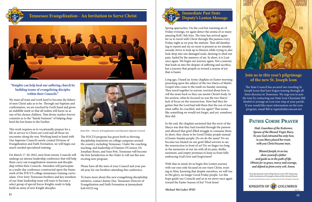

## **Tennessee Evangelization - An Invitation to Serve Christ**



#### **"Knights can help heal our suffering church by building teams of evangelizing disciples within their Councils."**

We must all train and work hard to become the fishers of men Christ asks us to be. Through our baptism and confirmation, we are touched by God's hand and given an indelible mark so that all realms will know us as one of his chosen children. That divine marker forever commits us to the "family business" of helping shepherd the lost home to the Farther.

This work requires us to vocationally prepare for a life in service to Christ our Lord and all those we encounter along the way. Working hand in hand with Our Supreme Council's newly created Division of Evangelization and Faith Formation, we will begin our much-needed specialized training.

On March 17-20, 2022, men from twenty Councils will undergo an intense leadership conference that will help them carry out evangelization missions and discipleship within their Councils. Attendees will participate in a multi-day conference constructed upon the framework of the FOCUS college missionary training curriculum. Over forty Tennessee brothers and key members of our State leadership team will train to become a select group of special forces Knights ready to help build an army of new Knight disciples.

The FOCUS program has given birth to thriving discipleship ministries on college campuses around the country, including Tennessee. Under the coaching, teaching, and leadership of Damien O'Connor, Dr. Jonathan Reyes, and Sean Pott, Tennessee will become the first Jurisdiction in the Order to roll out this new exciting new program.

Please have all the men of your Council and your parish pray for our brothers attending this conference.

To learn more about this new evangelizing discipleship initiative, contact Jimmy Dee, Tennessee Director of Evangelization and Faith Formation at jimmydee@ kofc16523.org









*(Sean Pott – Director of Evangelization and Education Supreme Council)*

Spring approaches. On the cool but warming air of Friday evenings, we again detect the aroma of so many amazing KofC fish fries. The time has arrived again for us to travel with Christ through His passion every Friday night as we pray the stations. That old familiar tug to repent and sin no more is present as we simultaneously strive to look up to Heaven while trying to also look deep into our damaged souls, desiring to shed our pain, fueled by the memory of sin. In short, it is Lent once again. We begin our journey again. Not a journey that leads us into the despair of suffering and sacrifice, but a journey that propels us toward a season of joy that is Easter.

Long ago, I heard an Army chaplain on Easter morning preaching upon the subject of the two Marys of Mark's Gospel who come to the tomb on Sunday morning. They travel together in sorrow, worried about how to roll the stone back so they can anoint Christ's body. In his sermon, what he focused on was the two Marys' lack of focus on the resurrection. How had they forgotten that the Lord had told them that the son of man must suffer, be crucified, and rise again? That seems like something we would not forget, and yet, somehow, they did.

In the end, the chaplain surmised that the error of the Marys was that they had traveled through the passion and allowed that grief-filled struggle to consume them. In short, they chose to be Good Friday people instead of Easter Sunday people. Do we do the same? Do we become too fixated on our grief-filled sorrows to see the resurrection in front of us? Do we linger too long in the memories of our sin with all its pain, disillusionment, and empty promises to keep us from fully embracing God's love and forgiveness?

With that in mind, let us begin this Lenten journey with our eyes only focused on our risen Christ, trusting in Him, knowing that despite ourselves, we will rise in His glory, no longer Good Friday people. Let this hope guide our Councils and us as we move once again toward the Easter Season of Joy! Vivat Jesus!

*Michael McCusker IPSD*

## **Immediate Past State Deputy's Lenten Message**

#### **Join us in this year's pilgrimage of the new St. Joseph Icon**

The State Council has secured two traveling St. Joseph Icons that have begun touring through all three dioceses in Tennessee. We urge you to join the tour by contacting our State Icon Charmian Bill Strebel to arrange an icon tour stop at your parish. If you would like more information on the icon program, email Bill at wgstrebel@comcast.net

## **PATRIS CORDE PRAYER**

Hail, Guardian of the Redeemer, Spouse of the Blessed Virgin Mary. To you God entrusted his only Son; in you Mary placed her trust; with you Christ became man.

Blessed Joseph, to us too, show yourself a father and guide us in the path of life. Obtain for us grace, mercy and courage, and defend us from every evil. Amen.

From the Apostolic Letter of Pope Francis on the 150<sup>th</sup> Anniversary of the Proclamation of St. Joseph as Patron of the Universal Church. Los by the hand of Elizabeth Bergeren. Hand on a denotogity Abroades Solidon Photograph by Graphethado

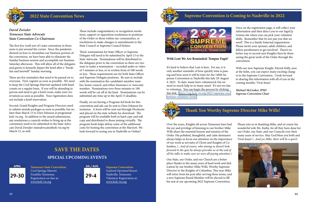## **Supreme Convention is Coming to Nashville in 2022**



It's hard to believe that Lent is here. For me, it is only another reminder of how quickly time is passing and how soon it will be time for the 140th Supreme Convention in Nashville this July 29-August 4, 2022. To date, many have volunteered, but we need so much help in so many areas! It's not too late to volunteer. You can begin the process by clicking this link. [https://reg.kofc-tn.org/2022-supreme-con](https://reg.kofc-tn.org/2022-supreme-convention-volunteer-form/)[vention-volunteer-form/](https://reg.kofc-tn.org/2022-supreme-convention-volunteer-form/)

#### **SPECIAL UPCOMING EVENTS**

**Tennessee State Convention** Cool Springs Marriot Franklin Tennessee. Registration on-line at: [www.kofc-tn.org](http://www.kofc-tn.org)

**Supreme Convention** Gaylord Opryland Resort Nashville, Tennessee Volunteer Registration at: [www.kofc-tn.org](http://www.kofc-tn.org)





**29-30**

**APRIL**



**SAVE THE DATES**

#### **With Lent We Are Reminded: Tempus Fugit!**

The first live (well sort of) state convention in three years is just around the corner. Since the pandemic showed us how to streamline our business portion of the convention, we have been able to eliminate the Sunday business session and accomplish our business Saturday afternoon. This will allow all of the delegates and guests to leisurely depart the hotel after a "breakfast and farewell" Sunday morning.

There are few reminders that need to be passed on to everyone. First, register as soon as possible. We need to keep the Cool Springs Marriott updated with headcounts on a regular basis. If you will be attending in person and need to get a hotel room, make your reservations as soon as possible. Your registration does not include a hotel reservation.

Second, Grand Knights and Program Directors need to submit awards packages as soon as possible, but no later than March 15 to Dave Johnson at programs@ kofc-tn.org. In addition to the award submissions, any resolutions a councils wishes to bring up at the convention need to be submitted to the State Advocate David Zwissler stateadvocate@kofc-tn.org by March 15, as well.

These include congratulatory or recognition resolutions, support or opposition resolutions to positions of the Order or those within our communities, or resolutions to make changes or amendments to the State Council or Supreme Council bylaws.

Third, nominations for State Officer or Supreme Delegate will need to be submitted by April 15 to the State Advocate. Nominations will be distributed to the delegates prior to the convention so there are two ways to make a nomination – recorded audio or video of 3 minutes or less, or in written form of 100 words or less. These requirements are for both State Officer and Supreme Delegate positions. Be sure to include with the nomination the candidate's member number, home council, and either Insurance or Associate member. Nominations over three minutes or 100 words will be cut off at the limit. Nominations can be submitted any time up to the April 15 deadline.

Finally, we are having a Program/Ad book for this convention and ads can be sent to Dave Johnson for inclusion. A form will be sent out through Flocknote and placed on the state website for download. The program will be available both in hard copy and soft copy and distributed to those joining virtually. The program book helps defray some of the additional costs for hosting the convention at the Marriott. We look forward to seeing you in Nashville or Online!



## **2022 State Convention News**

#### *David Zwissler Tennessee State Advocate State Convention Co-Chairman*

Once on the registration page, it will collect your information and then direct you to our SignUp Genius site where you can pick your volunteer shifts. Remember that it's not just you that we need! This is a family fraternal organization. Please invite your spouses, adult children, and fellow parishioners to get involved. There's no better way to recruit new Knights then by them seeing the great work of the Order through the convention.

With our new Supreme Knight, Patrick Kelly, now at the helm, you can expect many exciting changes to the Supreme Convention. I look forward to sharing this information with all of you in the coming months. Vivat Jesus!

*Michael McCusker, IPSD Supreme Convention Chair*





Over the years, Knights all across Tennessee have had the joy and privilege of listening to our brother Mike Wills share the essential lessons and mission of the Order. His polished, thoughtful, and calm demeanor always helps us focus our attention on the importance of our work as servants of Christ and Knights of Columbus. *(...And of course, who among us doesn't look forward to the quiz he always provides us at the end of all his talks to make sure we were all paying attention.*) Please join us in thanking Mike, and of course his wonderful wife Ms. Kathy, for all they have done for our Order, our State ,and our Councils over their many years of service. May God bless you both and Vivat Jesus! (*...And yes Mike, there will be a quiz!*)

Our State, our Order, and our Church are a better place thanks to the many years of hard work and dedication by our brother Mike Wills, Worthy Supreme Director to the Knights of Columbus. This year Mike will retire from his post after serving three terms, and a new Supreme Board Member will be elected to fill his seat at our upcoming 2022 Supreme Convention.